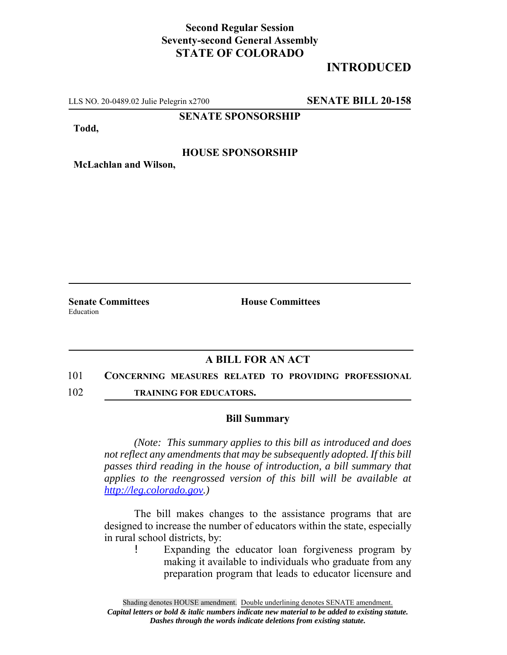## **Second Regular Session Seventy-second General Assembly STATE OF COLORADO**

# **INTRODUCED**

LLS NO. 20-0489.02 Julie Pelegrin x2700 **SENATE BILL 20-158**

**SENATE SPONSORSHIP**

**Todd,**

### **HOUSE SPONSORSHIP**

**McLachlan and Wilson,**

Education

**Senate Committees House Committees** 

## **A BILL FOR AN ACT**

#### 101 **CONCERNING MEASURES RELATED TO PROVIDING PROFESSIONAL**

102 **TRAINING FOR EDUCATORS.**

#### **Bill Summary**

*(Note: This summary applies to this bill as introduced and does not reflect any amendments that may be subsequently adopted. If this bill passes third reading in the house of introduction, a bill summary that applies to the reengrossed version of this bill will be available at http://leg.colorado.gov.)*

The bill makes changes to the assistance programs that are designed to increase the number of educators within the state, especially in rural school districts, by:

! Expanding the educator loan forgiveness program by making it available to individuals who graduate from any preparation program that leads to educator licensure and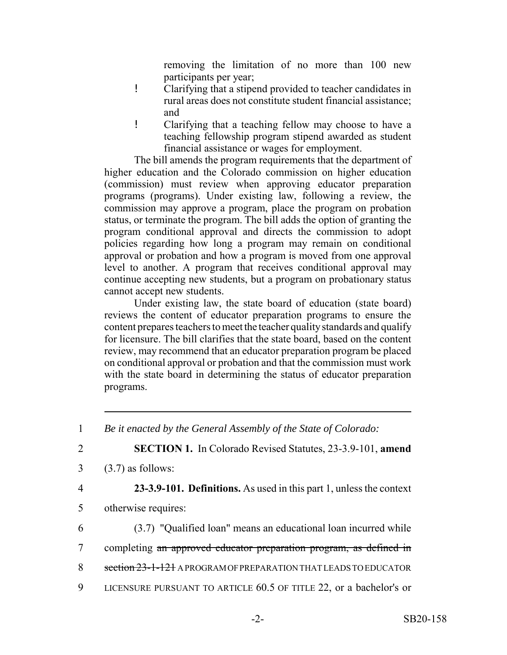removing the limitation of no more than 100 new participants per year;

- ! Clarifying that a stipend provided to teacher candidates in rural areas does not constitute student financial assistance; and
- ! Clarifying that a teaching fellow may choose to have a teaching fellowship program stipend awarded as student financial assistance or wages for employment.

The bill amends the program requirements that the department of higher education and the Colorado commission on higher education (commission) must review when approving educator preparation programs (programs). Under existing law, following a review, the commission may approve a program, place the program on probation status, or terminate the program. The bill adds the option of granting the program conditional approval and directs the commission to adopt policies regarding how long a program may remain on conditional approval or probation and how a program is moved from one approval level to another. A program that receives conditional approval may continue accepting new students, but a program on probationary status cannot accept new students.

Under existing law, the state board of education (state board) reviews the content of educator preparation programs to ensure the content prepares teachers to meet the teacher quality standards and qualify for licensure. The bill clarifies that the state board, based on the content review, may recommend that an educator preparation program be placed on conditional approval or probation and that the commission must work with the state board in determining the status of educator preparation programs.

- $3 \quad (3.7)$  as follows:
- 

4 **23-3.9-101. Definitions.** As used in this part 1, unless the context

- 5 otherwise requires:
- 6 (3.7) "Qualified loan" means an educational loan incurred while
- 7 completing an approved educator preparation program, as defined in
- 8 section 23-1-121 A PROGRAM OF PREPARATION THAT LEADS TO EDUCATOR
- 9 LICENSURE PURSUANT TO ARTICLE 60.5 OF TITLE 22, or a bachelor's or

<sup>1</sup> *Be it enacted by the General Assembly of the State of Colorado:*

<sup>2</sup> **SECTION 1.** In Colorado Revised Statutes, 23-3.9-101, **amend**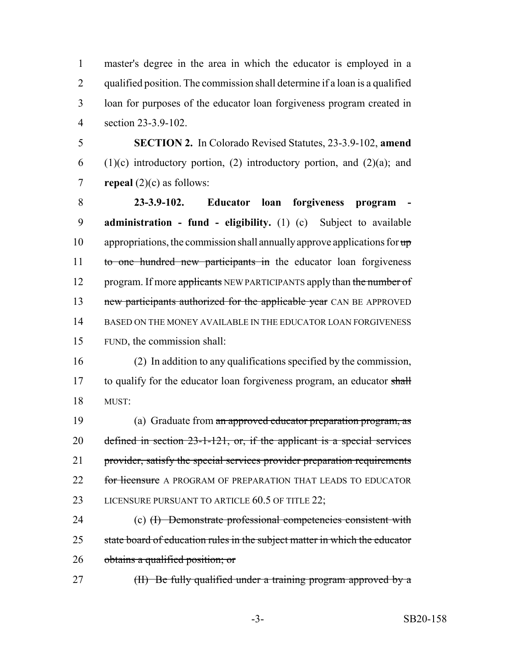master's degree in the area in which the educator is employed in a qualified position. The commission shall determine if a loan is a qualified loan for purposes of the educator loan forgiveness program created in section 23-3.9-102.

5 **SECTION 2.** In Colorado Revised Statutes, 23-3.9-102, **amend** 6 (1)(c) introductory portion, (2) introductory portion, and (2)(a); and 7 **repeal** (2)(c) as follows:

8 **23-3.9-102.** Educator loan forgiveness program 9 **administration - fund - eligibility.** (1) (c) Subject to available 10 appropriations, the commission shall annually approve applications for  $\mathbf{u}$ 11 to one hundred new participants in the educator loan forgiveness 12 program. If more applicants NEW PARTICIPANTS apply than the number of 13 new participants authorized for the applicable year CAN BE APPROVED 14 BASED ON THE MONEY AVAILABLE IN THE EDUCATOR LOAN FORGIVENESS 15 FUND, the commission shall:

16 (2) In addition to any qualifications specified by the commission, 17 to qualify for the educator loan forgiveness program, an educator shall 18 MUST:

19 (a) Graduate from an approved educator preparation program, as 20 defined in section 23-1-121, or, if the applicant is a special services 21 provider, satisfy the special services provider preparation requirements 22 for licensure A PROGRAM OF PREPARATION THAT LEADS TO EDUCATOR 23 LICENSURE PURSUANT TO ARTICLE 60.5 OF TITLE 22;

24 (c) (I) Demonstrate professional competencies consistent with 25 state board of education rules in the subject matter in which the educator 26 obtains a qualified position; or

27 (II) Be fully qualified under a training program approved by a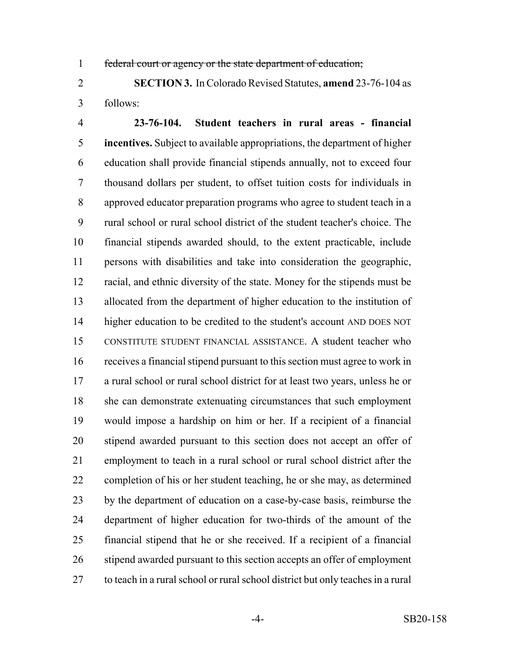federal court or agency or the state department of education;

 **SECTION 3.** In Colorado Revised Statutes, **amend** 23-76-104 as follows:

 **23-76-104. Student teachers in rural areas - financial incentives.** Subject to available appropriations, the department of higher education shall provide financial stipends annually, not to exceed four thousand dollars per student, to offset tuition costs for individuals in approved educator preparation programs who agree to student teach in a rural school or rural school district of the student teacher's choice. The financial stipends awarded should, to the extent practicable, include persons with disabilities and take into consideration the geographic, racial, and ethnic diversity of the state. Money for the stipends must be allocated from the department of higher education to the institution of higher education to be credited to the student's account AND DOES NOT CONSTITUTE STUDENT FINANCIAL ASSISTANCE. A student teacher who receives a financial stipend pursuant to this section must agree to work in a rural school or rural school district for at least two years, unless he or she can demonstrate extenuating circumstances that such employment would impose a hardship on him or her. If a recipient of a financial stipend awarded pursuant to this section does not accept an offer of employment to teach in a rural school or rural school district after the completion of his or her student teaching, he or she may, as determined by the department of education on a case-by-case basis, reimburse the department of higher education for two-thirds of the amount of the financial stipend that he or she received. If a recipient of a financial 26 stipend awarded pursuant to this section accepts an offer of employment to teach in a rural school or rural school district but only teaches in a rural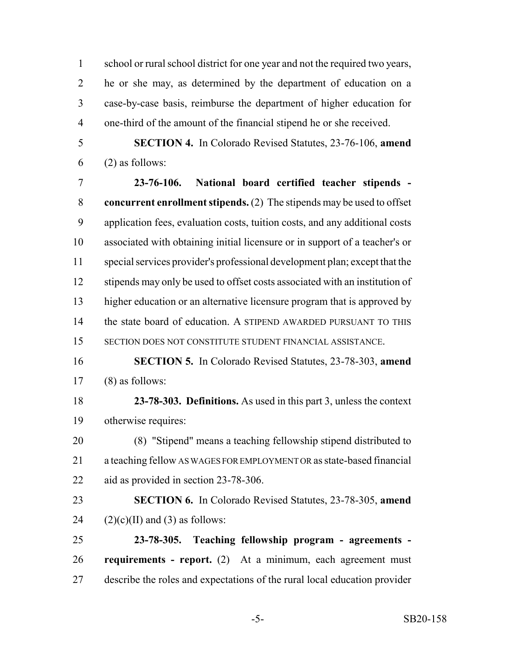school or rural school district for one year and not the required two years, he or she may, as determined by the department of education on a case-by-case basis, reimburse the department of higher education for one-third of the amount of the financial stipend he or she received.

 **SECTION 4.** In Colorado Revised Statutes, 23-76-106, **amend** (2) as follows:

 **23-76-106. National board certified teacher stipends - concurrent enrollment stipends.** (2) The stipends may be used to offset application fees, evaluation costs, tuition costs, and any additional costs associated with obtaining initial licensure or in support of a teacher's or special services provider's professional development plan; except that the stipends may only be used to offset costs associated with an institution of higher education or an alternative licensure program that is approved by the state board of education. A STIPEND AWARDED PURSUANT TO THIS SECTION DOES NOT CONSTITUTE STUDENT FINANCIAL ASSISTANCE.

- **SECTION 5.** In Colorado Revised Statutes, 23-78-303, **amend** (8) as follows:
- **23-78-303. Definitions.** As used in this part 3, unless the context otherwise requires:
- (8) "Stipend" means a teaching fellowship stipend distributed to a teaching fellow AS WAGES FOR EMPLOYMENT OR as state-based financial aid as provided in section 23-78-306.
- **SECTION 6.** In Colorado Revised Statutes, 23-78-305, **amend** 24  $(2)(c)(II)$  and (3) as follows:
- **23-78-305. Teaching fellowship program agreements - requirements - report.** (2) At a minimum, each agreement must describe the roles and expectations of the rural local education provider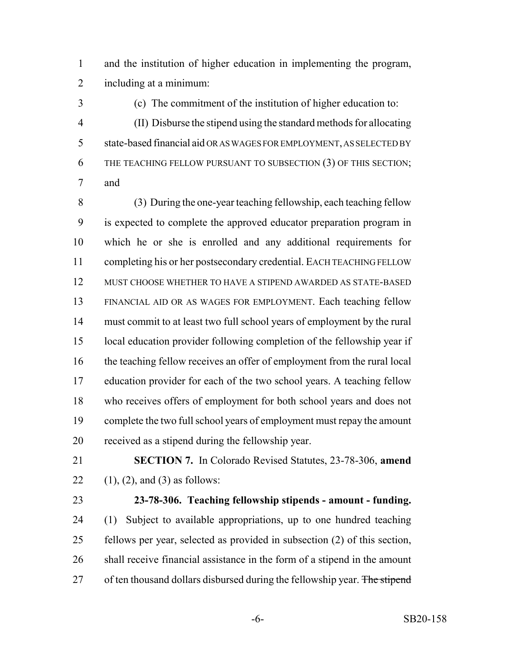and the institution of higher education in implementing the program, including at a minimum:

 (c) The commitment of the institution of higher education to: (II) Disburse the stipend using the standard methods for allocating state-based financial aid OR AS WAGES FOR EMPLOYMENT, AS SELECTED BY 6 THE TEACHING FELLOW PURSUANT TO SUBSECTION (3) OF THIS SECTION; and

 (3) During the one-year teaching fellowship, each teaching fellow is expected to complete the approved educator preparation program in which he or she is enrolled and any additional requirements for completing his or her postsecondary credential. EACH TEACHING FELLOW MUST CHOOSE WHETHER TO HAVE A STIPEND AWARDED AS STATE-BASED FINANCIAL AID OR AS WAGES FOR EMPLOYMENT. Each teaching fellow must commit to at least two full school years of employment by the rural local education provider following completion of the fellowship year if the teaching fellow receives an offer of employment from the rural local education provider for each of the two school years. A teaching fellow who receives offers of employment for both school years and does not complete the two full school years of employment must repay the amount received as a stipend during the fellowship year.

- **SECTION 7.** In Colorado Revised Statutes, 23-78-306, **amend** 22  $(1)$ ,  $(2)$ , and  $(3)$  as follows:
- 

# **23-78-306. Teaching fellowship stipends - amount - funding.**

 (1) Subject to available appropriations, up to one hundred teaching fellows per year, selected as provided in subsection (2) of this section, shall receive financial assistance in the form of a stipend in the amount 27 of ten thousand dollars disbursed during the fellowship year. The stipend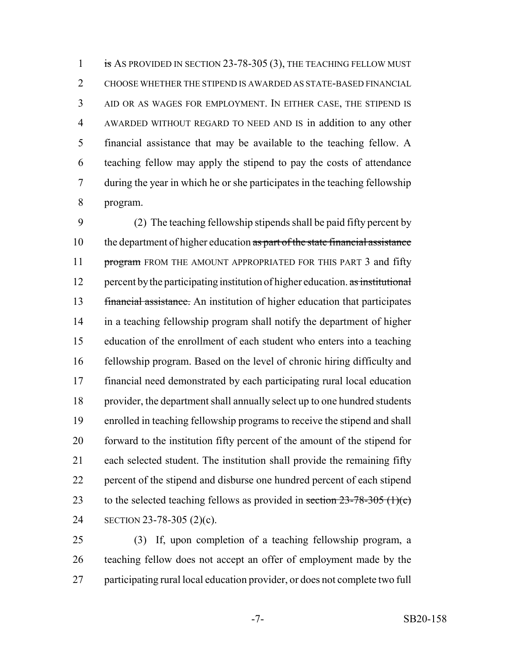1 is AS PROVIDED IN SECTION 23-78-305 (3), THE TEACHING FELLOW MUST CHOOSE WHETHER THE STIPEND IS AWARDED AS STATE-BASED FINANCIAL AID OR AS WAGES FOR EMPLOYMENT. IN EITHER CASE, THE STIPEND IS AWARDED WITHOUT REGARD TO NEED AND IS in addition to any other financial assistance that may be available to the teaching fellow. A teaching fellow may apply the stipend to pay the costs of attendance during the year in which he or she participates in the teaching fellowship program.

 (2) The teaching fellowship stipends shall be paid fifty percent by 10 the department of higher education as part of the state financial assistance 11 program FROM THE AMOUNT APPROPRIATED FOR THIS PART 3 and fifty 12 percent by the participating institution of higher education. as institutional financial assistance. An institution of higher education that participates in a teaching fellowship program shall notify the department of higher education of the enrollment of each student who enters into a teaching fellowship program. Based on the level of chronic hiring difficulty and financial need demonstrated by each participating rural local education provider, the department shall annually select up to one hundred students enrolled in teaching fellowship programs to receive the stipend and shall forward to the institution fifty percent of the amount of the stipend for each selected student. The institution shall provide the remaining fifty percent of the stipend and disburse one hundred percent of each stipend 23 to the selected teaching fellows as provided in section  $23-78-305$  (1)(c) SECTION 23-78-305 (2)(c).

 (3) If, upon completion of a teaching fellowship program, a teaching fellow does not accept an offer of employment made by the participating rural local education provider, or does not complete two full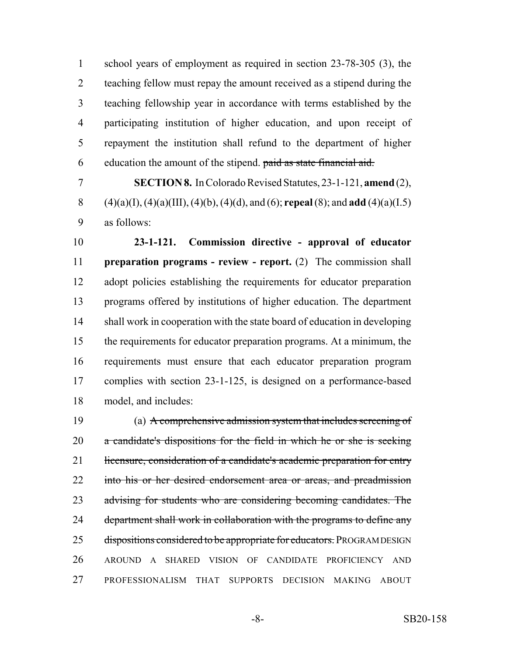school years of employment as required in section 23-78-305 (3), the teaching fellow must repay the amount received as a stipend during the teaching fellowship year in accordance with terms established by the participating institution of higher education, and upon receipt of repayment the institution shall refund to the department of higher education the amount of the stipend. paid as state financial aid.

 **SECTION 8.** In Colorado Revised Statutes, 23-1-121, **amend** (2), (4)(a)(I), (4)(a)(III), (4)(b), (4)(d), and (6); **repeal** (8); and **add** (4)(a)(I.5) as follows:

 **23-1-121. Commission directive - approval of educator preparation programs - review - report.** (2) The commission shall adopt policies establishing the requirements for educator preparation programs offered by institutions of higher education. The department shall work in cooperation with the state board of education in developing the requirements for educator preparation programs. At a minimum, the requirements must ensure that each educator preparation program complies with section 23-1-125, is designed on a performance-based model, and includes:

 (a) A comprehensive admission system that includes screening of a candidate's dispositions for the field in which he or she is seeking 21 licensure, consideration of a candidate's academic preparation for entry 22 into his or her desired endorsement area or areas, and preadmission 23 advising for students who are considering becoming candidates. The 24 department shall work in collaboration with the programs to define any 25 dispositions considered to be appropriate for educators. PROGRAM DESIGN AROUND A SHARED VISION OF CANDIDATE PROFICIENCY AND PROFESSIONALISM THAT SUPPORTS DECISION MAKING ABOUT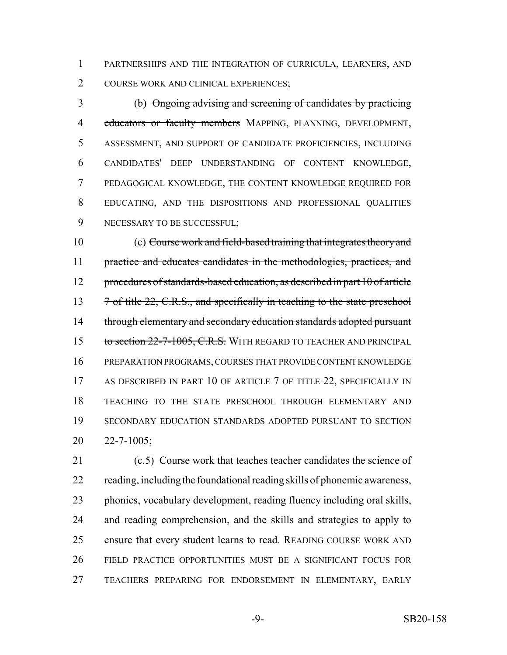PARTNERSHIPS AND THE INTEGRATION OF CURRICULA, LEARNERS, AND COURSE WORK AND CLINICAL EXPERIENCES;

 (b) Ongoing advising and screening of candidates by practicing 4 educators or faculty members MAPPING, PLANNING, DEVELOPMENT, ASSESSMENT, AND SUPPORT OF CANDIDATE PROFICIENCIES, INCLUDING CANDIDATES' DEEP UNDERSTANDING OF CONTENT KNOWLEDGE, PEDAGOGICAL KNOWLEDGE, THE CONTENT KNOWLEDGE REQUIRED FOR EDUCATING, AND THE DISPOSITIONS AND PROFESSIONAL QUALITIES 9 NECESSARY TO BE SUCCESSFUL;

 (c) Course work and field-based training that integrates theory and practice and educates candidates in the methodologies, practices, and procedures of standards-based education, as described in part 10 of article 13 7 of title 22, C.R.S., and specifically in teaching to the state preschool 14 through elementary and secondary education standards adopted pursuant 15 to section 22-7-1005, C.R.S. WITH REGARD TO TEACHER AND PRINCIPAL PREPARATION PROGRAMS, COURSES THAT PROVIDE CONTENT KNOWLEDGE 17 AS DESCRIBED IN PART 10 OF ARTICLE 7 OF TITLE 22, SPECIFICALLY IN TEACHING TO THE STATE PRESCHOOL THROUGH ELEMENTARY AND SECONDARY EDUCATION STANDARDS ADOPTED PURSUANT TO SECTION 22-7-1005;

 (c.5) Course work that teaches teacher candidates the science of reading, including the foundational reading skills of phonemic awareness, phonics, vocabulary development, reading fluency including oral skills, and reading comprehension, and the skills and strategies to apply to ensure that every student learns to read. READING COURSE WORK AND FIELD PRACTICE OPPORTUNITIES MUST BE A SIGNIFICANT FOCUS FOR TEACHERS PREPARING FOR ENDORSEMENT IN ELEMENTARY, EARLY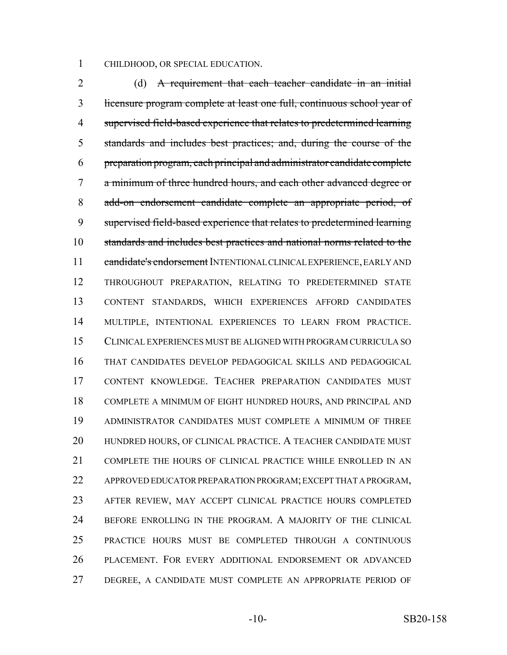CHILDHOOD, OR SPECIAL EDUCATION.

2 (d) A requirement that each teacher candidate in an initial licensure program complete at least one full, continuous school year of supervised field-based experience that relates to predetermined learning standards and includes best practices; and, during the course of the preparation program, each principal and administrator candidate complete a minimum of three hundred hours, and each other advanced degree or add-on endorsement candidate complete an appropriate period, of supervised field-based experience that relates to predetermined learning standards and includes best practices and national norms related to the 11 candidate's endorsement INTENTIONAL CLINICAL EXPERIENCE, EARLY AND THROUGHOUT PREPARATION, RELATING TO PREDETERMINED STATE CONTENT STANDARDS, WHICH EXPERIENCES AFFORD CANDIDATES MULTIPLE, INTENTIONAL EXPERIENCES TO LEARN FROM PRACTICE. CLINICAL EXPERIENCES MUST BE ALIGNED WITH PROGRAM CURRICULA SO THAT CANDIDATES DEVELOP PEDAGOGICAL SKILLS AND PEDAGOGICAL CONTENT KNOWLEDGE. TEACHER PREPARATION CANDIDATES MUST COMPLETE A MINIMUM OF EIGHT HUNDRED HOURS, AND PRINCIPAL AND ADMINISTRATOR CANDIDATES MUST COMPLETE A MINIMUM OF THREE 20 HUNDRED HOURS, OF CLINICAL PRACTICE. A TEACHER CANDIDATE MUST COMPLETE THE HOURS OF CLINICAL PRACTICE WHILE ENROLLED IN AN APPROVED EDUCATOR PREPARATION PROGRAM; EXCEPT THAT A PROGRAM, AFTER REVIEW, MAY ACCEPT CLINICAL PRACTICE HOURS COMPLETED BEFORE ENROLLING IN THE PROGRAM. A MAJORITY OF THE CLINICAL PRACTICE HOURS MUST BE COMPLETED THROUGH A CONTINUOUS PLACEMENT. FOR EVERY ADDITIONAL ENDORSEMENT OR ADVANCED DEGREE, A CANDIDATE MUST COMPLETE AN APPROPRIATE PERIOD OF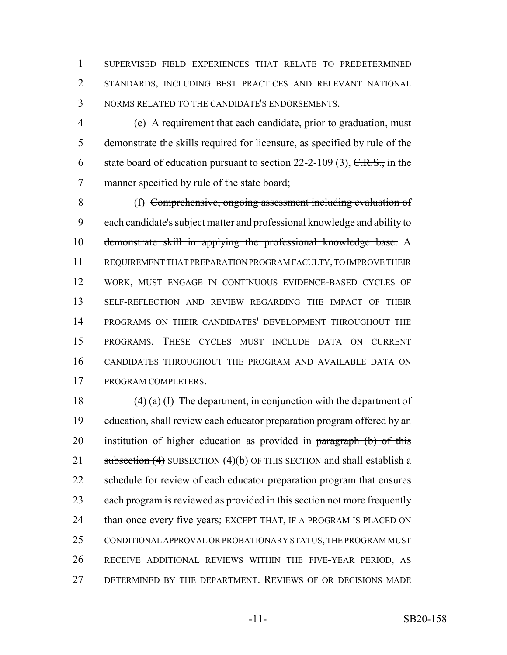SUPERVISED FIELD EXPERIENCES THAT RELATE TO PREDETERMINED STANDARDS, INCLUDING BEST PRACTICES AND RELEVANT NATIONAL NORMS RELATED TO THE CANDIDATE'S ENDORSEMENTS.

 (e) A requirement that each candidate, prior to graduation, must demonstrate the skills required for licensure, as specified by rule of the 6 state board of education pursuant to section 22-2-109 (3),  $C.R.S.,$  in the manner specified by rule of the state board;

 (f) Comprehensive, ongoing assessment including evaluation of each candidate's subject matter and professional knowledge and ability to 10 demonstrate skill in applying the professional knowledge base. A REQUIREMENT THAT PREPARATION PROGRAM FACULTY, TO IMPROVE THEIR WORK, MUST ENGAGE IN CONTINUOUS EVIDENCE-BASED CYCLES OF SELF-REFLECTION AND REVIEW REGARDING THE IMPACT OF THEIR PROGRAMS ON THEIR CANDIDATES' DEVELOPMENT THROUGHOUT THE PROGRAMS. THESE CYCLES MUST INCLUDE DATA ON CURRENT CANDIDATES THROUGHOUT THE PROGRAM AND AVAILABLE DATA ON PROGRAM COMPLETERS.

 (4) (a) (I) The department, in conjunction with the department of education, shall review each educator preparation program offered by an 20 institution of higher education as provided in paragraph (b) of this 21 subsection (4) SUBSECTION (4)(b) OF THIS SECTION and shall establish a 22 schedule for review of each educator preparation program that ensures each program is reviewed as provided in this section not more frequently 24 than once every five years; EXCEPT THAT, IF A PROGRAM IS PLACED ON CONDITIONAL APPROVAL OR PROBATIONARY STATUS, THE PROGRAM MUST RECEIVE ADDITIONAL REVIEWS WITHIN THE FIVE-YEAR PERIOD, AS DETERMINED BY THE DEPARTMENT. REVIEWS OF OR DECISIONS MADE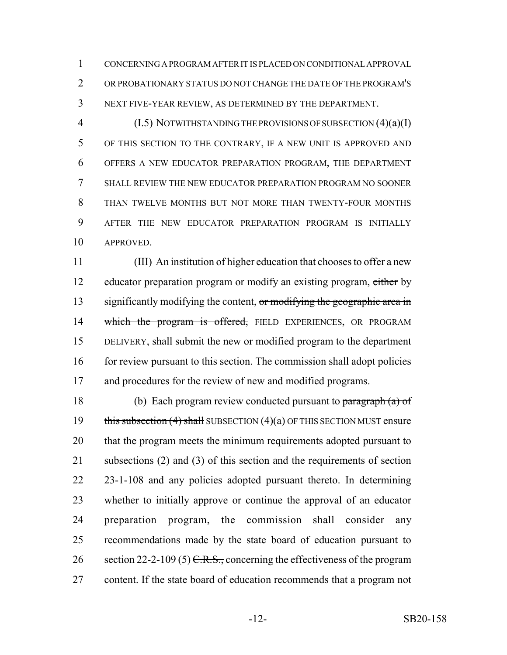CONCERNING A PROGRAM AFTER IT IS PLACED ON CONDITIONAL APPROVAL OR PROBATIONARY STATUS DO NOT CHANGE THE DATE OF THE PROGRAM'S NEXT FIVE-YEAR REVIEW, AS DETERMINED BY THE DEPARTMENT.

4 (I.5) NOTWITHSTANDING THE PROVISIONS OF SUBSECTION (4)(a)(I) OF THIS SECTION TO THE CONTRARY, IF A NEW UNIT IS APPROVED AND OFFERS A NEW EDUCATOR PREPARATION PROGRAM, THE DEPARTMENT SHALL REVIEW THE NEW EDUCATOR PREPARATION PROGRAM NO SOONER THAN TWELVE MONTHS BUT NOT MORE THAN TWENTY-FOUR MONTHS AFTER THE NEW EDUCATOR PREPARATION PROGRAM IS INITIALLY APPROVED.

 (III) An institution of higher education that chooses to offer a new 12 educator preparation program or modify an existing program, either by 13 significantly modifying the content, or modifying the geographic area in 14 which the program is offered, FIELD EXPERIENCES, OR PROGRAM DELIVERY, shall submit the new or modified program to the department 16 for review pursuant to this section. The commission shall adopt policies and procedures for the review of new and modified programs.

 (b) Each program review conducted pursuant to paragraph (a) of 19 this subsection  $(4)$  shall SUBSECTION  $(4)(a)$  OF THIS SECTION MUST ensure that the program meets the minimum requirements adopted pursuant to subsections (2) and (3) of this section and the requirements of section 23-1-108 and any policies adopted pursuant thereto. In determining whether to initially approve or continue the approval of an educator preparation program, the commission shall consider any recommendations made by the state board of education pursuant to 26 section 22-2-109 (5)  $C.R.S.,$  concerning the effectiveness of the program content. If the state board of education recommends that a program not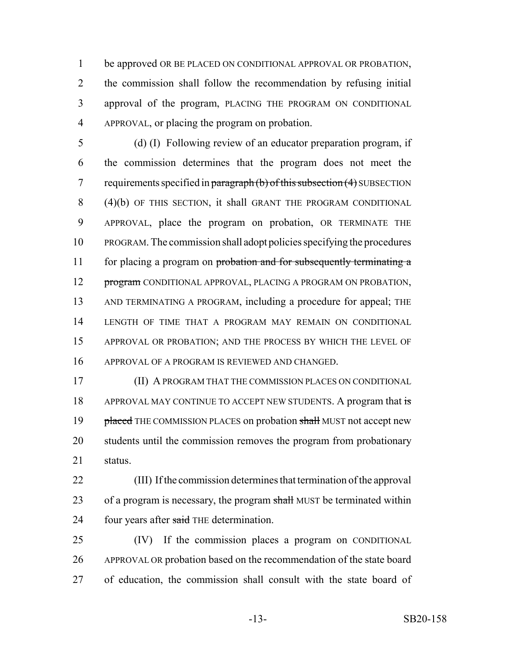be approved OR BE PLACED ON CONDITIONAL APPROVAL OR PROBATION, the commission shall follow the recommendation by refusing initial approval of the program, PLACING THE PROGRAM ON CONDITIONAL APPROVAL, or placing the program on probation.

 (d) (I) Following review of an educator preparation program, if the commission determines that the program does not meet the 7 requirements specified in paragraph  $(b)$  of this subsection  $(4)$  SUBSECTION (4)(b) OF THIS SECTION, it shall GRANT THE PROGRAM CONDITIONAL APPROVAL, place the program on probation, OR TERMINATE THE PROGRAM. The commission shall adopt policies specifying the procedures 11 for placing a program on probation and for subsequently terminating a 12 program CONDITIONAL APPROVAL, PLACING A PROGRAM ON PROBATION, AND TERMINATING A PROGRAM, including a procedure for appeal; THE LENGTH OF TIME THAT A PROGRAM MAY REMAIN ON CONDITIONAL APPROVAL OR PROBATION; AND THE PROCESS BY WHICH THE LEVEL OF APPROVAL OF A PROGRAM IS REVIEWED AND CHANGED.

 (II) A PROGRAM THAT THE COMMISSION PLACES ON CONDITIONAL 18 APPROVAL MAY CONTINUE TO ACCEPT NEW STUDENTS. A program that is 19 placed THE COMMISSION PLACES on probation shall MUST not accept new students until the commission removes the program from probationary status.

 (III) If the commission determines that termination of the approval 23 of a program is necessary, the program shall MUST be terminated within 24 four years after said THE determination.

 (IV) If the commission places a program on CONDITIONAL APPROVAL OR probation based on the recommendation of the state board of education, the commission shall consult with the state board of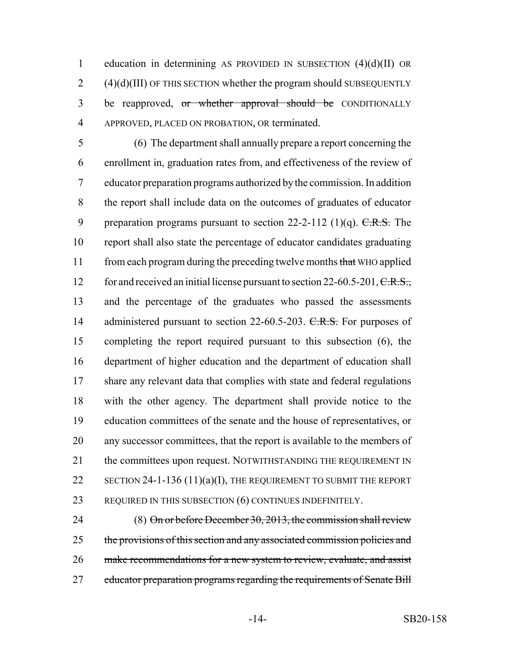1 education in determining AS PROVIDED IN SUBSECTION  $(4)(d)(II)$  OR  $2$  (4)(d)(III) OF THIS SECTION whether the program should SUBSEQUENTLY 3 be reapproved, or whether approval should be CONDITIONALLY 4 APPROVED, PLACED ON PROBATION, OR terminated.

 (6) The department shall annually prepare a report concerning the enrollment in, graduation rates from, and effectiveness of the review of educator preparation programs authorized by the commission. In addition the report shall include data on the outcomes of graduates of educator 9 preparation programs pursuant to section  $22-2-112$  (1)(q). C.R.S. The report shall also state the percentage of educator candidates graduating 11 from each program during the preceding twelve months that WHO applied 12 for and received an initial license pursuant to section 22-60.5-201, C.R.S., and the percentage of the graduates who passed the assessments 14 administered pursuant to section 22-60.5-203. C.R.S. For purposes of completing the report required pursuant to this subsection (6), the department of higher education and the department of education shall 17 share any relevant data that complies with state and federal regulations with the other agency. The department shall provide notice to the education committees of the senate and the house of representatives, or any successor committees, that the report is available to the members of 21 the committees upon request. NOTWITHSTANDING THE REQUIREMENT IN 22 SECTION 24-1-136  $(11)(a)(I)$ , THE REQUIREMENT TO SUBMIT THE REPORT REQUIRED IN THIS SUBSECTION (6) CONTINUES INDEFINITELY.

24 (8) On or before December 30, 2013, the commission shall review 25 the provisions of this section and any associated commission policies and 26 make recommendations for a new system to review, evaluate, and assist 27 educator preparation programs regarding the requirements of Senate Bill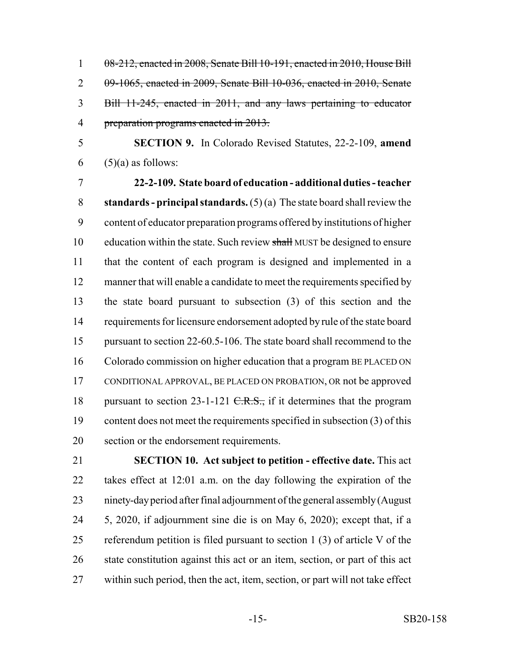08-212, enacted in 2008, Senate Bill 10-191, enacted in 2010, House Bill 09-1065, enacted in 2009, Senate Bill 10-036, enacted in 2010, Senate Bill 11-245, enacted in 2011, and any laws pertaining to educator preparation programs enacted in 2013.

 **SECTION 9.** In Colorado Revised Statutes, 22-2-109, **amend** 6  $(5)(a)$  as follows:

 **22-2-109. State board of education - additional duties - teacher standards - principal standards.** (5) (a) The state board shall review the content of educator preparation programs offered by institutions of higher 10 education within the state. Such review shall MUST be designed to ensure that the content of each program is designed and implemented in a manner that will enable a candidate to meet the requirements specified by the state board pursuant to subsection (3) of this section and the requirements for licensure endorsement adopted by rule of the state board pursuant to section 22-60.5-106. The state board shall recommend to the Colorado commission on higher education that a program BE PLACED ON CONDITIONAL APPROVAL, BE PLACED ON PROBATION, OR not be approved 18 pursuant to section  $23-1-121$  C.R.S., if it determines that the program content does not meet the requirements specified in subsection (3) of this section or the endorsement requirements.

 **SECTION 10. Act subject to petition - effective date.** This act takes effect at 12:01 a.m. on the day following the expiration of the ninety-day period after final adjournment of the general assembly (August 5, 2020, if adjournment sine die is on May 6, 2020); except that, if a referendum petition is filed pursuant to section 1 (3) of article V of the state constitution against this act or an item, section, or part of this act within such period, then the act, item, section, or part will not take effect